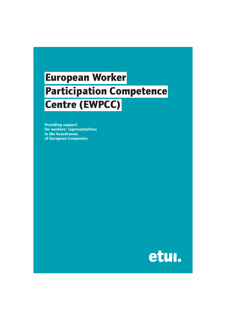# **European Worker Participation Competence Centre (EWPCC)**

**Providing support** for workers' representatives in the boardrooms **of European Companies** 

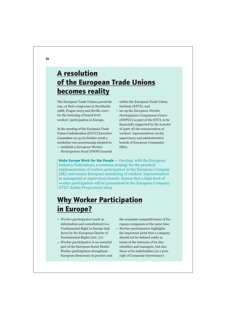## **A** resolution of the European Trade Unions **becomes reality**

The European Trade Unions paved the way, at their congresses in Stockholm 1988, Prague 2003 and Seville 2007, for the fostering of board-level workers' participation in Europe.

At the meeting of the European Trade Union Confederation (ETUC) Executive Committee on 15/16 October 2008 a resolution was *unanimously* adopted to: — establish a *European Worker* 

*Participation Fund (EWPF)* located

within the European Trade Union Institute (ETUI); and

— set up the *European Worker Participation Competence Centre (EWPCC)* as part of the ETUI, to be financially supported by the transfer of (part of) the remuneration of workers' representatives on the supervisory and administrative boards of European Companies (SEs).

**Make Europe Work for the People** — Develop, with the European Industry Federations, a common strategy for the practical implementation of worker participation in the European Company (SE), and ensure European mandating of workers' representatives to managerial or supervisory boards. Ensure that a high level of worker participation will be guaranteed in the European Company. *ETUC Action Programme 2003*

## **Why Worker Participation in Europe?**

- *Worker participation* (such as information and consultation) is a Fundamental Right in Europe laid down by the European Charter of Fundamental Rights (Art. 27).
- *Worker participation* is an essential part of the European Social Model. Worker participation strengthens European democracy in practice and

the economic competitiveness of Eu ropean companies at the same time.

— *Worker participation* highlights the important point that a company should not be defined solely in terms of the interests of its sha reholders and managers, but also those of its stakeholders (as a prin ciple of Corporate Governance).

**01**  $\blacksquare$  $\blacksquare$  $\blacksquare$  $\blacksquare$  $\blacksquare$  $\blacksquare$  $\blacksquare$  $\blacksquare$  $\blacksquare$  $\blacksquare$  $\blacksquare$  $\blacksquare$  $\blacksquare$  $\blacksquare$  $\blacksquare$  $\blacksquare$  $\blacksquare$  $\blacksquare$  $\blacksquare$  $\blacksquare$  $\blacksquare$  $\blacksquare$  $\blacksquare$  $\blacksquare$  $\blacksquare$  $\blacksquare$  $\blacksquare$  $\blacksquare$  $\blacksquare$  $\blacksquare$  **\bl**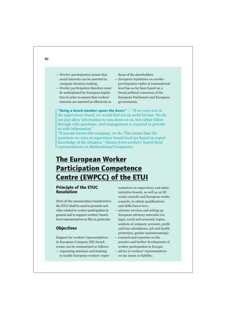- *Worker participation* means that social interests can be asserted in company decision-making.
- *Worker participation* therefore must be underpinned by European legisla tion in order to ensure that workers' interests are asserted as effectively as

those of the shareholders.

— *European legislation on worker participation rights* at transnational level has so far been based on a broad political consensus of the European Parliament and European governments.

**"Being a board member opens the doors"** — "If we were not on the supervisory board, we would find out an awful lot less. We do not just allow information to rain down on us, but rather follow through with questions. And management is required to provide us with information."

"If anyone knows this company, we do. This means that the questions we raise at supervisory board level are based on expert knowledge of the situation." *Quotes from workers' board-level representatives in Multinational Companies*

# **The European Worker Participation Competence 2** Centre (EWPCC) of the ETUI

#### **Principle of the ETUC Resolution**

(Part of) the remuneration transferred to the ETUI shall be used to promote acti vities related to worker participation in general and to support workers' boardlevel representatives in SEs in particular.

#### **Objectives**

Support for workers' representatives in European Company (SE) boardrooms can be summarised as follows:

— organising seminars and training to enable European workers' repre -

sentatives on supervisory and admi nistrative boards, as well as on SE works councils and European works councils, to obtain qualifications and skills/know how;

- advisory services and setting up European advisory networks (on legal, social and economic topics, analysis of company accounts, profit and loss calculations, job and health protection, gender mainstreaming);
- research and expertise on the practice and further development of worker participation in Europe;
- advice to workers' representatives on tax issues or liability;

 **! "**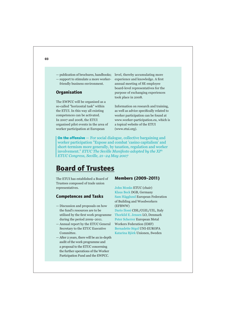— publication of brochures, handbooks; — support to stimulate a more workerfriendly business environment.

#### **Organisation**

The EWPCC will be organised as a so-called "horizontal task" within the ETUI. In this way all existing competences can be activated. In 2007 and 2008, the ETUI organised pilot events in the area of worker participation at European

level, thereby accumulating more experience and knowledge. A first annual meeting of SE employee board-level representatives for the purpose of exchanging experiences took place in 2008.

Information on research and training, as well as advice specifically related to worker participation can be found at www.worker-participation.eu, which is a topical website of the ETUI (www.etui.org).

**On the offensive** — For social dialogue, collective bargaining and worker participation "Expose and combat 'casino capitalism' and short-termism more generally, by taxation, regulation and worker involvement." *ETUC The Seville Manifesto adopted by the XIth ETUC Congress, Seville, 21–24 May 2007*

### **Board of Trustees**

The ETUI has established a Board of Trustees composed of trade union representatives.

#### **Competences and Tasks**

- Discussion and proposals on how the fund's resources are to be utilised by the first work programme during the period 2009–2011.
- Annual report by the ETUC General Secretary to the ETUC Executive Committee.
- After 2 years, there will be an in-depth audit of the work programme and a proposal to the ETUC concerning the further operations of the Worker Participation Fund and the EWPCC.

#### **Members (2009-2011)**

John Monks ETUC (chair) Klaus Beck DGB, Germany Sam Hägglund European Federation of Building and Woodworkers (EFBWW)

Dario Ilossi CISL/CGIL/UIL, Italy Thorkild E. Jensen LO, Denmark Peter Scherrer European Metal Workers Federation (EMF) Bernadette Ségol UNI-EUROPA Katarina Björk Unionen, Sweden

#### **1 1 1 1 1 1 1 1 1 1**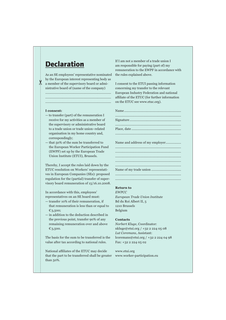### **Declaration**

As an SE employees' representative nominated by the European interest representing body as a member of the supervisory board or administrative board of (name of the company)

......................................................................... ......................................................................... .........................................................................

#### **I consent:**

- to transfer (part) of the remuneration I receive for my activities as a member of the supervisory or administrative board to a trade union or trade union–related organisation in my home country and, correspondingly;
- that 50% of the sum be transferred to the European Worker Participation Fund (EWPF) set up by the European Trade Union Institute (ETUI), Brussels.

Thereby, I accept the rules laid down by the ETUC resolution on Workers' representatives in European Companies (SEs): proposed regulation for the (partial) transfer of supervisory board remuneration of 15/16.10.2008.

In accordance with this, employees' representatives on an SE board must:

- transfer 10% of their remuneration, if that remuneration is less than or equal to €3,500;
- in addition to the deduction described in the previous point, transfer 90% of any remaining remuneration over and above €3,500.

The basis for the sum to be transferred is the value after tax according to national rules.

National affiliates of the ETUC may decide that the part to be transferred shall be greater than 50%.

If I am not a member of a trade union I am responsible for paying (part of) my remuneration to the EWPF in accordance with the rules explained above.

I consent to the ETUI passing information concerning my transfer to the relevant European Industry Federation and national affiliate of the ETUC (for further information on the ETUC see www.etuc.org).

Name and address of my employer................. ......................................................................... ......................................................................... ......................................................................... ......................................................................... ......................................................................... Name of my trade union ................................. ......................................................................... .........................................................................

#### **Return to**

*EWPCC European Trade Union Institute* Bd du Roi Albert II, 5 1210 Brussels Belgium

#### **Contacts**

*Norbert Kluge*, Coordinator: nkluge@etui.org / +32 2 224 05 08 *Lut Coremans*, Assistant: lcoremans@etui.org / +32 2 224 04 98 Fax: +32 2 224 05 02

www.etui.org www.worker-participation.eu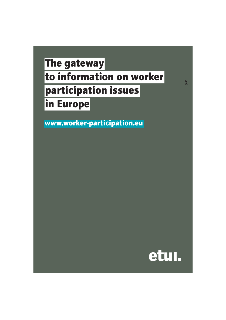# **The gateway to information on worker** participation issues **in Europe**

www.worker-participation.eu



 $\dot{\mathbf{y}}$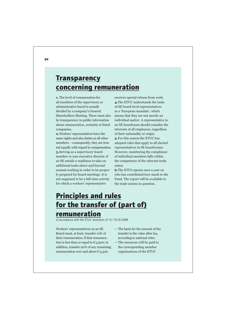### **Transparency CONCETNING TEMUNETATION**

**1.** The level of remuneration for all members of the supervisory or administrative board is usually decided by a company's General Shareholders Meeting. There must also be transparency in public information about remuneration, certainly at listed companies.

**2.**Workers' representatives have the same rights and also duties as all other members – consequently, they are trea ted equally with regard to compensation. **3.**Serving as a supervisory board member or non-executive director of an SE entails a readiness to take on additional tasks above and beyond normal working in order to be proper ly prepared for board meetings. It is not supposed to be a full-time activity for which a workers' representative

receives special release from work. **4.**The ETUC understands the tasks of SE board-level representatives as a 'European mandate', which means that they are not merely an individual matter. A representative in an SE boardroom should consider the interests of all employees, regardless of their nationality or origin. **5.**For this reason the ETUC has adopted rules that apply to all elected representatives in SE boardrooms. However, monitoring the compliance of individual members falls within the competence of the relevant trade union.

**6.**The ETUI reports once a year on who has contributed how much to the Fund. The report will be available to the trade unions in question.

### **Principles and rules** for the transfer of (part of) **remuneration**

In accordance with the FTUC resolution of  $15/16102008$ 

Workers' representatives on an SE Board must, at least, transfer 10% of their remuneration, if that remunera tion is less than or equal to  $\epsilon_{3,500}$ ; in addition, transfer 90% of any remaining remuneration over and above  $\epsilon_{3,500}$ .

- The basis for the amount of the transfer is the value after tax, according to national rules.
- The resources will be paid to the corresponding member organisations of the ETUC

**#**  $\frac{1}{2}$  **#**  $\frac{1}{2}$  **#**  $\frac{1}{2}$  **#**  $\frac{1}{2}$  **#**  $\frac{1}{2}$  **#**  $\frac{1}{2}$  **#**  $\frac{1}{2}$  **#**  $\frac{1}{2}$  **#**  $\frac{1}{2}$  **#**  $\frac{1}{2}$  **#**  $\frac{1}{2}$  **#**  $\frac{1}{2}$  **#**  $\frac{1}{2}$  **#**  $\frac{1}{2}$  **#**  $\frac{1}{2}$  **#**  $\frac{1}{2}$